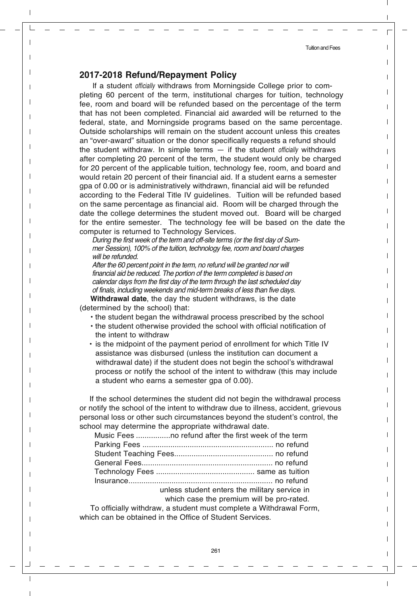## **2017-2018 Refund/Repayment Policy**

If a student officially withdraws from Morningside College prior to completing 60 percent of the term, institutional charges for tuition, technology fee, room and board will be refunded based on the percentage of the term that has not been completed. Financial aid awarded will be returned to the federal, state, and Morningside programs based on the same percentage. Outside scholarships will remain on the student account unless this creates an "over-award" situation or the donor specifically requests a refund should the student withdraw. In simple terms  $-$  if the student *officially* withdraws after completing 20 percent of the term, the student would only be charged for 20 percent of the applicable tuition, technology fee, room, and board and would retain 20 percent of their financial aid. If a student earns a semester gpa of 0.00 or is administratively withdrawn, financial aid will be refunded according to the Federal Title IV guidelines. Tuition will be refunded based on the same percentage as financial aid. Room will be charged through the date the college determines the student moved out. Board will be charged for the entire semester. The technology fee will be based on the date the computer is returned to Technology Services.

During the first week of the term and off-site terms (or the first day of Summer Session), 100% of the tuition, technology fee, room and board charges will be refunded.

After the 60 percent point in the term, no refund will be granted nor will financial aid be reduced. The portion of the term completed is based on calendar days from the first day of the term through the last scheduled day of finals, including weekends and mid-term breaks of less than five days.

**Withdrawal date**, the day the student withdraws, is the date (determined by the school) that:

- the student began the withdrawal process prescribed by the school
- the student otherwise provided the school with official notification of the intent to withdraw
- is the midpoint of the payment period of enrollment for which Title IV assistance was disbursed (unless the institution can document a withdrawal date) if the student does not begin the school's withdrawal process or notify the school of the intent to withdraw (this may include a student who earns a semester gpa of 0.00).

If the school determines the student did not begin the withdrawal process or notify the school of the intent to withdraw due to illness, accident, grievous personal loss or other such circumstances beyond the student's control, the school may determine the appropriate withdrawal date.

| unless student enters the military service in |
|-----------------------------------------------|
| which case the premium will be pro-rated.     |
|                                               |

 To officially withdraw, a student must complete a Withdrawal Form, which can be obtained in the Office of Student Services.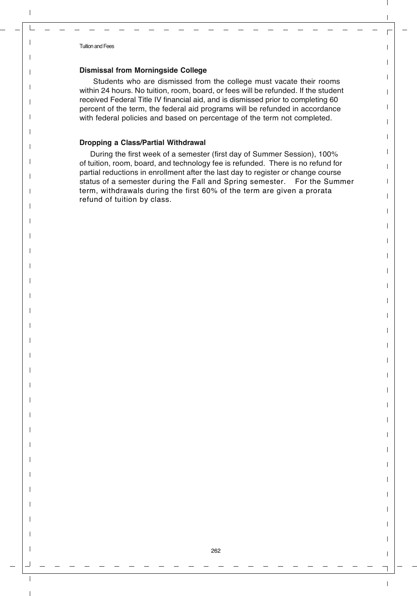## **Dismissal from Morningside College**

Students who are dismissed from the college must vacate their rooms within 24 hours. No tuition, room, board, or fees will be refunded. If the student received Federal Title IV financial aid, and is dismissed prior to completing 60 percent of the term, the federal aid programs will be refunded in accordance with federal policies and based on percentage of the term not completed.

## **Dropping a Class/Partial Withdrawal**

 During the first week of a semester (first day of Summer Session), 100% of tuition, room, board, and technology fee is refunded. There is no refund for partial reductions in enrollment after the last day to register or change course status of a semester during the Fall and Spring semester. For the Summer term, withdrawals during the first 60% of the term are given a prorata refund of tuition by class.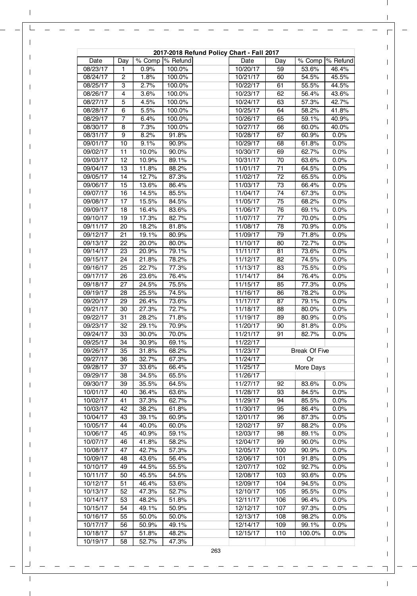| 2017-2018 Refund Policy Chart - Fall 2017 |          |                |                  |  |                      |                      |                |                |  |
|-------------------------------------------|----------|----------------|------------------|--|----------------------|----------------------|----------------|----------------|--|
| Date                                      | Day      |                | % Comp  % Refund |  | Date                 | Day                  | % Comp         | % Refund       |  |
| 08/23/17                                  | 1        | 0.9%           | 100.0%           |  | 10/20/17             | 59                   | 53.6%          | 46.4%          |  |
| 08/24/17                                  | 2        | 1.8%           | 100.0%           |  | 10/21/17             | 60                   | 54.5%          | 45.5%          |  |
| 08/25/17                                  | 3        | 2.7%           | 100.0%           |  | 10/22/17             | 61                   | 55.5%          | 44.5%          |  |
| 08/26/17                                  | 4        | 3.6%           | 100.0%           |  | 10/23/17             | 62                   | 56.4%          | 43.6%          |  |
| 08/27/17                                  | 5        | 4.5%           | 100.0%           |  | 10/24/17             | 63                   | 57.3%          | 42.7%          |  |
| 08/28/17<br>08/29/17                      | 6<br>7   | 5.5%<br>6.4%   | 100.0%<br>100.0% |  | 10/25/17<br>10/26/17 | 64<br>65             | 58.2%<br>59.1% | 41.8%<br>40.9% |  |
| 08/30/17                                  | 8        | 7.3%           | 100.0%           |  | 10/27/17             | 66                   | 60.0%          | 40.0%          |  |
| 08/31/17                                  | 9        | 8.2%           | 91.8%            |  | 10/28/17             | 67                   | 60.9%          | 0.0%           |  |
| 09/01/17                                  | 10       | 9.1%           | 90.9%            |  | 10/29/17             | 68                   | 61.8%          | 0.0%           |  |
| 09/02/17                                  | 11       | 10.0%          | 90.0%            |  | 10/30/17             | 69                   | 62.7%          | 0.0%           |  |
| 09/03/17                                  | 12       | 10.9%          | 89.1%            |  | 10/31/17             | 70                   | 63.6%          | 0.0%           |  |
| 09/04/17                                  | 13       | 11.8%          | 88.2%            |  | 11/01/17             | 71                   | 64.5%          | 0.0%           |  |
| 09/05/17                                  | 14       | 12.7%          | 87.3%            |  | 11/02/17             | 72                   | 65.5%          | 0.0%           |  |
| 09/06/17                                  | 15       | 13.6%          | 86.4%            |  | 11/03/17             | 73                   | 66.4%          | 0.0%           |  |
| 09/07/17                                  | 16       | 14.5%          | 85.5%            |  | 11/04/17             | 74                   | 67.3%          | 0.0%           |  |
| 09/08/17                                  | 17       | 15.5%          | 84.5%            |  | 11/05/17             | 75                   | 68.2%          | 0.0%           |  |
| 09/09/17                                  | 18       | 16.4%          | 83.6%            |  | 11/06/17             | 76                   | 69.1%          | 0.0%           |  |
| 09/10/17                                  | 19       | 17.3%          | 82.7%            |  | 11/07/17             | 77                   | 70.0%          | 0.0%           |  |
| 09/11/17                                  | 20       | 18.2%          | 81.8%            |  | 11/08/17             | 78                   | 70.9%          | 0.0%           |  |
| 09/12/17                                  | 21       | 19.1%          | 80.9%            |  | 11/09/17             | 79                   | 71.8%          | 0.0%           |  |
| 09/13/17                                  | 22       | 20.0%          | 80.0%            |  | 11/10/17             | 80                   | 72.7%          | 0.0%           |  |
| 09/14/17                                  | 23       | 20.9%<br>21.8% | 79.1%            |  | 11/11/17             | 81                   | 73.6%          | 0.0%           |  |
| 09/15/17<br>09/16/17                      | 24<br>25 | 22.7%          | 78.2%<br>77.3%   |  | 11/12/17<br>11/13/17 | 82<br>83             | 74.5%<br>75.5% | 0.0%<br>0.0%   |  |
| 09/17/17                                  | 26       | 23.6%          | 76.4%            |  | 11/14/17             | 84                   | 76.4%          | 0.0%           |  |
| 09/18/17                                  | 27       | 24.5%          | 75.5%            |  | 11/15/17             | 85                   | 77.3%          | 0.0%           |  |
| 09/19/17                                  | 28       | 25.5%          | 74.5%            |  | 11/16/17             | 86                   | 78.2%          | 0.0%           |  |
| 09/20/17                                  | 29       | 26.4%          | 73.6%            |  | 11/17/17             | 87                   | 79.1%          | 0.0%           |  |
| 09/21/17                                  | 30       | 27.3%          | 72.7%            |  | 11/18/17             | 88                   | 80.0%          | 0.0%           |  |
| 09/22/17                                  | 31       | 28.2%          | 71.8%            |  | 11/19/17             | 89                   | 80.9%          | 0.0%           |  |
| 09/23/17                                  | 32       | 29.1%          | 70.9%            |  | 11/20/17             | 90                   | 81.8%          | 0.0%           |  |
| 09/24/17                                  | 33       | 30.0%          | 70.0%            |  | 11/21/17             | 91                   | 82.7%          | 0.0%           |  |
| 09/25/17                                  | 34       | 30.9%          | 69.1%            |  | 11/22/17             |                      |                |                |  |
| 09/26/17                                  | 35       | 31.8%          | 68.2%            |  | 11/23/17             | <b>Break Of Five</b> |                |                |  |
| 09/27/17                                  | 36       | 32.7%          | 67.3%            |  | 11/24/17             | Or                   |                |                |  |
| 09/28/17                                  | 37       | 33.6%          | 66.4%            |  | 11/25/17             |                      | More Days      |                |  |
| 09/29/17                                  | 38       | 34.5%          | 65.5%            |  | 11/26/17             |                      |                |                |  |
| 09/30/17                                  | 39       | 35.5%          | 64.5%            |  | 11/27/17             | 92                   | 83.6%          | 0.0%           |  |
| 10/01/17                                  | 40       | 36.4%          | 63.6%            |  | 11/28/17             | 93                   | 84.5%          | 0.0%           |  |
| 10/02/17<br>10/03/17                      | 41<br>42 | 37.3%<br>38.2% | 62.7%<br>61.8%   |  | 11/29/17<br>11/30/17 | 94<br>95             | 85.5%<br>86.4% | 0.0%<br>0.0%   |  |
| 10/04/17                                  | 43       | 39.1%          | 60.9%            |  | 12/01/17             | 96                   | 87.3%          | 0.0%           |  |
| 10/05/17                                  | 44       | 40.0%          | 60.0%            |  | 12/02/17             | 97                   | 88.2%          | 0.0%           |  |
| 10/06/17                                  | 45       | 40.9%          | 59.1%            |  | 12/03/17             | 98                   | 89.1%          | 0.0%           |  |
| 10/07/17                                  | 46       | 41.8%          | 58.2%            |  | 12/04/17             | 99                   | 90.0%          | 0.0%           |  |
| 10/08/17                                  | 47       | 42.7%          | 57.3%            |  | 12/05/17             | 100                  | 90.9%          | $0.0\%$        |  |
| 10/09/17                                  | 48       | 43.6%          | 56.4%            |  | 12/06/17             | 101                  | 91.8%          | $0.0\%$        |  |
| 10/10/17                                  | 49       | 44.5%          | 55.5%            |  | 12/07/17             | 102                  | 92.7%          | 0.0%           |  |
| 10/11/17                                  | 50       | 45.5%          | 54.5%            |  | 12/08/17             | 103                  | 93.6%          | $0.0\%$        |  |
| 10/12/17                                  | 51       | 46.4%          | 53.6%            |  | 12/09/17             | 104                  | 94.5%          | $0.0\%$        |  |
| 10/13/17                                  | 52       | 47.3%          | 52.7%            |  | 12/10/17             | 105                  | 95.5%          | 0.0%           |  |
| 10/14/17                                  | 53       | 48.2%          | 51.8%            |  | 12/11/17             | 106                  | 96.4%          | $0.0\%$        |  |
| 10/15/17                                  | 54       | 49.1%          | 50.9%            |  | 12/12/17             | 107                  | 97.3%          | $0.0\%$        |  |
| 10/16/17                                  | 55       | 50.0%          | 50.0%            |  | 12/13/17             | 108                  | 98.2%          | 0.0%           |  |
| 10/17/17                                  | 56       | 50.9%          | 49.1%            |  | 12/14/17             | 109                  | 99.1%          | $0.0\%$        |  |
| 10/18/17                                  | 57       | 51.8%          | 48.2%            |  | 12/15/17             | 110                  | 100.0%         | 0.0%           |  |
| 10/19/17                                  | 58       | 52.7%          | 47.3%            |  |                      |                      |                |                |  |